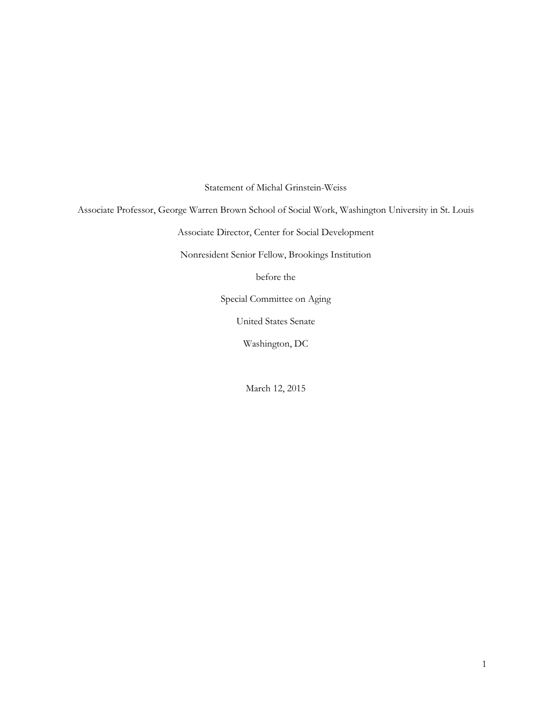Statement of Michal Grinstein-Weiss

Associate Professor, George Warren Brown School of Social Work, Washington University in St. Louis

Associate Director, Center for Social Development

Nonresident Senior Fellow, Brookings Institution

before the

Special Committee on Aging

United States Senate

Washington, DC

March 12, 2015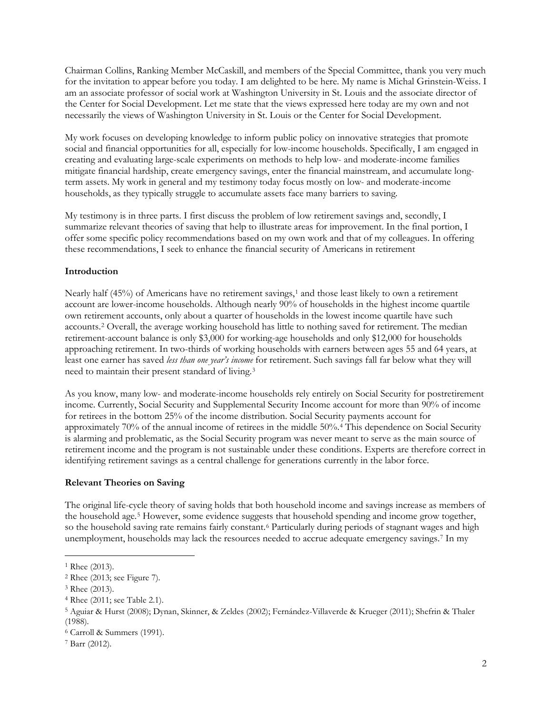Chairman Collins, Ranking Member McCaskill, and members of the Special Committee, thank you very much for the invitation to appear before you today. I am delighted to be here. My name is Michal Grinstein-Weiss. I am an associate professor of social work at Washington University in St. Louis and the associate director of the Center for Social Development. Let me state that the views expressed here today are my own and not necessarily the views of Washington University in St. Louis or the Center for Social Development.

My work focuses on developing knowledge to inform public policy on innovative strategies that promote social and financial opportunities for all, especially for low-income households. Specifically, I am engaged in creating and evaluating large-scale experiments on methods to help low- and moderate-income families mitigate financial hardship, create emergency savings, enter the financial mainstream, and accumulate longterm assets. My work in general and my testimony today focus mostly on low- and moderate-income households, as they typically struggle to accumulate assets face many barriers to saving.

My testimony is in three parts. I first discuss the problem of low retirement savings and, secondly, I summarize relevant theories of saving that help to illustrate areas for improvement. In the final portion, I offer some specific policy recommendations based on my own work and that of my colleagues. In offering these recommendations, I seek to enhance the financial security of Americans in retirement

# **Introduction**

Nearly half (45%) of Americans have no retirement savings,<sup>[1](#page-1-0)</sup> and those least likely to own a retirement account are lower-income households. Although nearly 90% of households in the highest income quartile own retirement accounts, only about a quarter of households in the lowest income quartile have such accounts.[2](#page-1-1) Overall, the average working household has little to nothing saved for retirement. The median retirement-account balance is only \$3,000 for working-age households and only \$12,000 for households approaching retirement. In two-thirds of working households with earners between ages 55 and 64 years, at least one earner has saved *less than one year's income* for retirement. Such savings fall far below what they will need to maintain their present standard of living.[3](#page-1-2)

As you know, many low- and moderate-income households rely entirely on Social Security for postretirement income. Currently, Social Security and Supplemental Security Income account for more than 90% of income for retirees in the bottom 25% of the income distribution. Social Security payments account for approximately 70% of the annual income of retirees in the middle 50%.[4](#page-1-3) This dependence on Social Security is alarming and problematic, as the Social Security program was never meant to serve as the main source of retirement income and the program is not sustainable under these conditions. Experts are therefore correct in identifying retirement savings as a central challenge for generations currently in the labor force.

# **Relevant Theories on Saving**

The original life-cycle theory of saving holds that both household income and savings increase as members of the household age.[5](#page-1-4) However, some evidence suggests that household spending and income grow together, so the household saving rate remains fairly constant.<sup>[6](#page-1-5)</sup> Particularly during periods of stagnant wages and high unemployment, households may lack the resources needed to accrue adequate emergency savings.[7](#page-1-6) In my

<span id="page-1-0"></span><sup>1</sup> Rhee (2013).

<span id="page-1-1"></span><sup>2</sup> Rhee (2013; see Figure 7).

<span id="page-1-2"></span><sup>3</sup> Rhee (2013).

<span id="page-1-3"></span><sup>4</sup> Rhee (2011; see Table 2.1).

<span id="page-1-4"></span><sup>5</sup> Aguiar & Hurst (2008); Dynan, Skinner, & Zeldes (2002); Fernández-Villaverde & Krueger (2011); Shefrin & Thaler (1988).

<span id="page-1-5"></span><sup>6</sup> Carroll & Summers (1991).

<span id="page-1-6"></span><sup>7</sup> Barr (2012).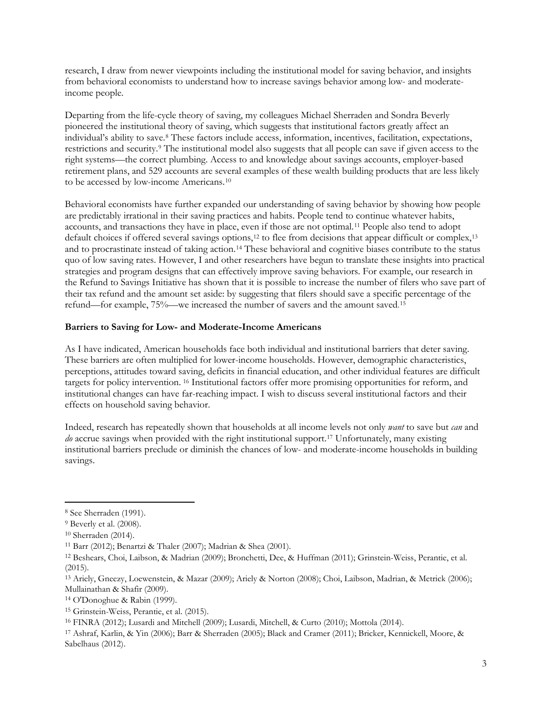research, I draw from newer viewpoints including the institutional model for saving behavior, and insights from behavioral economists to understand how to increase savings behavior among low- and moderateincome people.

Departing from the life-cycle theory of saving, my colleagues Michael Sherraden and Sondra Beverly pioneered the institutional theory of saving, which suggests that institutional factors greatly affect an individual's ability to save.[8](#page-2-0) These factors include access, information, incentives, facilitation, expectations, restrictions and security.[9](#page-2-1) The institutional model also suggests that all people can save if given access to the right systems—the correct plumbing. Access to and knowledge about savings accounts, employer-based retirement plans, and 529 accounts are several examples of these wealth building products that are less likely to be accessed by low-income Americans.[10](#page-2-2)

Behavioral economists have further expanded our understanding of saving behavior by showing how people are predictably irrational in their saving practices and habits. People tend to continue whatever habits, accounts, and transactions they have in place, even if those are not optimal.[11](#page-2-3) People also tend to adopt default choices if offered several savings options,<sup>[12](#page-2-4)</sup> to flee from decisions that appear difficult or complex,<sup>[13](#page-2-5)</sup> and to procrastinate instead of taking action.[14](#page-2-6) These behavioral and cognitive biases contribute to the status quo of low saving rates. However, I and other researchers have begun to translate these insights into practical strategies and program designs that can effectively improve saving behaviors. For example, our research in the Refund to Savings Initiative has shown that it is possible to increase the number of filers who save part of their tax refund and the amount set aside: by suggesting that filers should save a specific percentage of the refund—for example, 75%—we increased the number of savers and the amount saved. [15](#page-2-7)

# **Barriers to Saving for Low- and Moderate-Income Americans**

As I have indicated, American households face both individual and institutional barriers that deter saving. These barriers are often multiplied for lower-income households. However, demographic characteristics, perceptions, attitudes toward saving, deficits in financial education, and other individual features are difficult targets for policy intervention. [16](#page-2-8) Institutional factors offer more promising opportunities for reform, and institutional changes can have far-reaching impact. I wish to discuss several institutional factors and their effects on household saving behavior.

Indeed, research has repeatedly shown that households at all income levels not only *want* to save but *can* and *do* accrue savings when provided with the right institutional support.[17](#page-2-9) Unfortunately, many existing institutional barriers preclude or diminish the chances of low- and moderate-income households in building savings.

<span id="page-2-0"></span><sup>8</sup> See Sherraden (1991).

<span id="page-2-1"></span><sup>9</sup> Beverly et al. (2008).

<span id="page-2-2"></span><sup>10</sup> Sherraden (2014).

<span id="page-2-3"></span><sup>11</sup> Barr (2012); Benartzi & Thaler (2007); Madrian & Shea (2001).

<span id="page-2-4"></span><sup>12</sup> Beshears, Choi, Laibson, & Madrian (2009); Bronchetti, Dee, & Huffman (2011); Grinstein-Weiss, Perantie, et al. (2015).

<span id="page-2-5"></span><sup>13</sup> Ariely, Gneezy, Loewenstein, & Mazar (2009); Ariely & Norton (2008); Choi, Laibson, Madrian, & Metrick (2006); Mullainathan & Shafir (2009).

<span id="page-2-6"></span><sup>14</sup> O'Donoghue & Rabin (1999).

<span id="page-2-7"></span><sup>15</sup> Grinstein-Weiss, Perantie, et al. (2015).

<span id="page-2-8"></span><sup>16</sup> FINRA (2012); Lusardi and Mitchell (2009); Lusardi, Mitchell, & Curto (2010); Mottola (2014).

<span id="page-2-9"></span><sup>17</sup> Ashraf, Karlin, & Yin (2006); Barr & Sherraden (2005); Black and Cramer (2011); Bricker, Kennickell, Moore, & Sabelhaus (2012).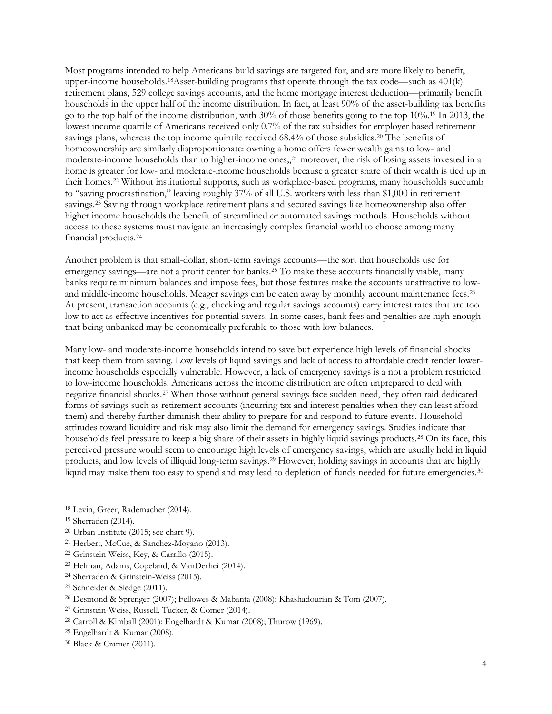Most programs intended to help Americans build savings are targeted for, and are more likely to benefit, upper-income households.<sup>[18](#page-3-0)</sup>Asset-building programs that operate through the tax code—such as  $401(k)$ retirement plans, 529 college savings accounts, and the home mortgage interest deduction—primarily benefit households in the upper half of the income distribution. In fact, at least 90% of the asset-building tax benefits go to the top half of the income distribution, with 30% of those benefits going to the top 10%.[19](#page-3-1) In 2013, the lowest income quartile of Americans received only 0.7% of the tax subsidies for employer based retirement savings plans, whereas the top income quintile received 68.4% of those subsidies.[20](#page-3-2) The benefits of homeownership are similarly disproportionate: owning a home offers fewer wealth gains to low- and moderate-income households than to higher-income ones;,[21](#page-3-3) moreover, the risk of losing assets invested in a home is greater for low- and moderate-income households because a greater share of their wealth is tied up in their homes.[22](#page-3-4) Without institutional supports, such as workplace-based programs, many households succumb to "saving procrastination," leaving roughly 37% of all U.S. workers with less than \$1,000 in retirement savings.[23](#page-3-5) Saving through workplace retirement plans and secured savings like homeownership also offer higher income households the benefit of streamlined or automated savings methods. Households without access to these systems must navigate an increasingly complex financial world to choose among many financial products.[24](#page-3-6)

Another problem is that small-dollar, short-term savings accounts—the sort that households use for emergency savings—are not a profit center for banks.[25](#page-3-7) To make these accounts financially viable, many banks require minimum balances and impose fees, but those features make the accounts unattractive to low-and middle-income households. Meager savings can be eaten away by monthly account maintenance fees.<sup>[26](#page-3-8)</sup> At present, transaction accounts (e.g., checking and regular savings accounts) carry interest rates that are too low to act as effective incentives for potential savers. In some cases, bank fees and penalties are high enough that being unbanked may be economically preferable to those with low balances.

Many low- and moderate-income households intend to save but experience high levels of financial shocks that keep them from saving. Low levels of liquid savings and lack of access to affordable credit render lowerincome households especially vulnerable. However, a lack of emergency savings is a not a problem restricted to low-income households. Americans across the income distribution are often unprepared to deal with negative financial shocks.[27](#page-3-9) When those without general savings face sudden need, they often raid dedicated forms of savings such as retirement accounts (incurring tax and interest penalties when they can least afford them) and thereby further diminish their ability to prepare for and respond to future events. Household attitudes toward liquidity and risk may also limit the demand for emergency savings. Studies indicate that households feel pressure to keep a big share of their assets in highly liquid savings products.[28](#page-3-10) On its face, this perceived pressure would seem to encourage high levels of emergency savings, which are usually held in liquid products, and low levels of illiquid long-term savings[.29](#page-3-11) However, holding savings in accounts that are highly liquid may make them too easy to spend and may lead to depletion of funds needed for future emergencies.<sup>[30](#page-3-12)</sup>

<span id="page-3-0"></span><sup>18</sup> Levin, Greer, Rademacher (2014).

<span id="page-3-1"></span><sup>19</sup> Sherraden (2014).

<span id="page-3-2"></span><sup>20</sup> Urban Institute (2015; see chart 9).

<span id="page-3-4"></span><span id="page-3-3"></span><sup>21</sup> Herbert, McCue, & Sanchez-Moyano (2013). 22 Grinstein-Weiss, Key, & Carrillo (2015).

<span id="page-3-5"></span><sup>23</sup> Helman, Adams, Copeland, & VanDerhei (2014).

<span id="page-3-6"></span><sup>24</sup> Sherraden & Grinstein-Weiss (2015).

<span id="page-3-7"></span><sup>25</sup> Schneider & Sledge (2011).

<span id="page-3-8"></span><sup>26</sup> Desmond & Sprenger (2007); Fellowes & Mabanta (2008); Khashadourian & Tom (2007).

<span id="page-3-9"></span><sup>27</sup> Grinstein-Weiss, Russell, Tucker, & Comer (2014).

<span id="page-3-10"></span><sup>28</sup> Carroll & Kimball (2001); Engelhardt & Kumar (2008); Thurow (1969).

<span id="page-3-11"></span><sup>29</sup> Engelhardt & Kumar (2008).

<span id="page-3-12"></span><sup>30</sup> Black & Cramer (2011).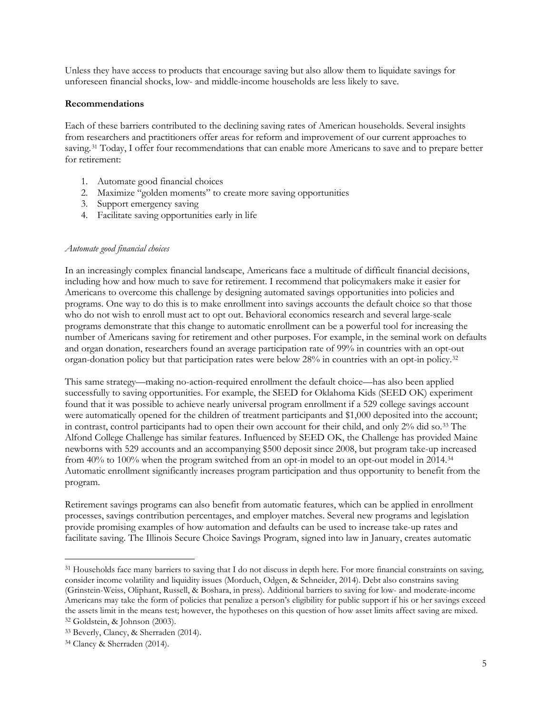Unless they have access to products that encourage saving but also allow them to liquidate savings for unforeseen financial shocks, low- and middle-income households are less likely to save.

### **Recommendations**

Each of these barriers contributed to the declining saving rates of American households. Several insights from researchers and practitioners offer areas for reform and improvement of our current approaches to saving.<sup>[31](#page-4-0)</sup> Today, I offer four recommendations that can enable more Americans to save and to prepare better for retirement:

- 1. Automate good financial choices
- 2. Maximize "golden moments" to create more saving opportunities
- 3. Support emergency saving
- 4. Facilitate saving opportunities early in life

### *Automate good financial choices*

In an increasingly complex financial landscape, Americans face a multitude of difficult financial decisions, including how and how much to save for retirement. I recommend that policymakers make it easier for Americans to overcome this challenge by designing automated savings opportunities into policies and programs. One way to do this is to make enrollment into savings accounts the default choice so that those who do not wish to enroll must act to opt out. Behavioral economics research and several large-scale programs demonstrate that this change to automatic enrollment can be a powerful tool for increasing the number of Americans saving for retirement and other purposes. For example, in the seminal work on defaults and organ donation, researchers found an average participation rate of 99% in countries with an opt-out organ-donation policy but that participation rates were below 28% in countries with an opt-in policy.[32](#page-4-1)

This same strategy—making no-action-required enrollment the default choice—has also been applied successfully to saving opportunities. For example, the SEED for Oklahoma Kids (SEED OK) experiment found that it was possible to achieve nearly universal program enrollment if a 529 college savings account were automatically opened for the children of treatment participants and \$1,000 deposited into the account; in contrast, control participants had to open their own account for their child, and only 2% did so.[33](#page-4-2) The Alfond College Challenge has similar features. Influenced by SEED OK, the Challenge has provided Maine newborns with 529 accounts and an accompanying \$500 deposit since 2008, but program take-up increased from 40% to 100% when the program switched from an opt-in model to an opt-out model in 2014.[34](#page-4-3) Automatic enrollment significantly increases program participation and thus opportunity to benefit from the program.

Retirement savings programs can also benefit from automatic features, which can be applied in enrollment processes, savings contribution percentages, and employer matches. Several new programs and legislation provide promising examples of how automation and defaults can be used to increase take-up rates and facilitate saving. The Illinois Secure Choice Savings Program, signed into law in January, creates automatic

<span id="page-4-0"></span><sup>31</sup> Households face many barriers to saving that I do not discuss in depth here. For more financial constraints on saving, consider income volatility and liquidity issues (Morduch, Odgen, & Schneider, 2014). Debt also constrains saving (Grinstein-Weiss, Oliphant, Russell, & Boshara, in press). Additional barriers to saving for low- and moderate-income Americans may take the form of policies that penalize a person's eligibility for public support if his or her savings exceed the assets limit in the means test; however, the hypotheses on this question of how asset limits affect saving are mixed. <sup>32</sup> Goldstein, & Johnson (2003).

<span id="page-4-2"></span><span id="page-4-1"></span><sup>33</sup> Beverly, Clancy, & Sherraden (2014).

<span id="page-4-3"></span><sup>34</sup> Clancy & Sherraden (2014).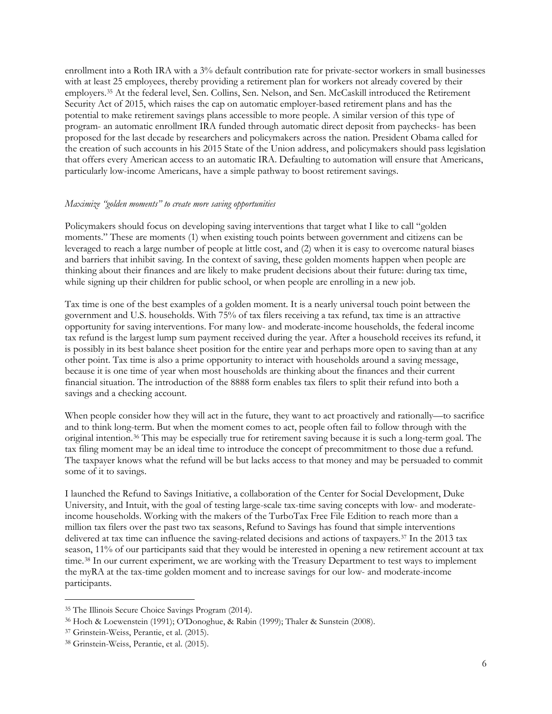enrollment into a Roth IRA with a 3% default contribution rate for private-sector workers in small businesses with at least 25 employees, thereby providing a retirement plan for workers not already covered by their employers.[35](#page-5-0) At the federal level, Sen. Collins, Sen. Nelson, and Sen. McCaskill introduced the Retirement Security Act of 2015, which raises the cap on automatic employer-based retirement plans and has the potential to make retirement savings plans accessible to more people. A similar version of this type of program- an automatic enrollment IRA funded through automatic direct deposit from paychecks- has been proposed for the last decade by researchers and policymakers across the nation. President Obama called for the creation of such accounts in his 2015 State of the Union address, and policymakers should pass legislation that offers every American access to an automatic IRA. Defaulting to automation will ensure that Americans, particularly low-income Americans, have a simple pathway to boost retirement savings.

#### *Maximize "golden moments" to create more saving opportunities*

Policymakers should focus on developing saving interventions that target what I like to call "golden moments." These are moments (1) when existing touch points between government and citizens can be leveraged to reach a large number of people at little cost, and (2) when it is easy to overcome natural biases and barriers that inhibit saving. In the context of saving, these golden moments happen when people are thinking about their finances and are likely to make prudent decisions about their future: during tax time, while signing up their children for public school, or when people are enrolling in a new job.

Tax time is one of the best examples of a golden moment. It is a nearly universal touch point between the government and U.S. households. With 75% of tax filers receiving a tax refund, tax time is an attractive opportunity for saving interventions. For many low- and moderate-income households, the federal income tax refund is the largest lump sum payment received during the year. After a household receives its refund, it is possibly in its best balance sheet position for the entire year and perhaps more open to saving than at any other point. Tax time is also a prime opportunity to interact with households around a saving message, because it is one time of year when most households are thinking about the finances and their current financial situation. The introduction of the 8888 form enables tax filers to split their refund into both a savings and a checking account.

When people consider how they will act in the future, they want to act proactively and rationally—to sacrifice and to think long-term. But when the moment comes to act, people often fail to follow through with the original intention.[36](#page-5-1) This may be especially true for retirement saving because it is such a long-term goal. The tax filing moment may be an ideal time to introduce the concept of precommitment to those due a refund. The taxpayer knows what the refund will be but lacks access to that money and may be persuaded to commit some of it to savings.

I launched the Refund to Savings Initiative, a collaboration of the Center for Social Development, Duke University, and Intuit, with the goal of testing large-scale tax-time saving concepts with low- and moderateincome households. Working with the makers of the TurboTax Free File Edition to reach more than a million tax filers over the past two tax seasons, Refund to Savings has found that simple interventions delivered at tax time can influence the saving-related decisions and actions of taxpayers.[37](#page-5-2) In the 2013 tax season, 11% of our participants said that they would be interested in opening a new retirement account at tax time.[38](#page-5-3) In our current experiment, we are working with the Treasury Department to test ways to implement the myRA at the tax-time golden moment and to increase savings for our low- and moderate-income participants.

<span id="page-5-0"></span><sup>35</sup> The Illinois Secure Choice Savings Program (2014).

<span id="page-5-1"></span><sup>36</sup> Hoch & Loewenstein (1991); O'Donoghue, & Rabin (1999); Thaler & Sunstein (2008).

<span id="page-5-2"></span><sup>37</sup> Grinstein-Weiss, Perantie, et al. (2015).

<span id="page-5-3"></span><sup>38</sup> Grinstein-Weiss, Perantie, et al. (2015).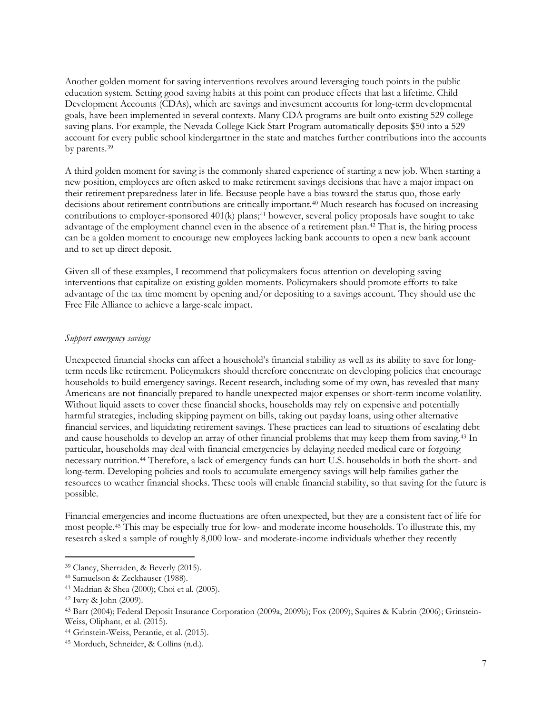Another golden moment for saving interventions revolves around leveraging touch points in the public education system. Setting good saving habits at this point can produce effects that last a lifetime. Child Development Accounts (CDAs), which are savings and investment accounts for long-term developmental goals, have been implemented in several contexts. Many CDA programs are built onto existing 529 college saving plans. For example, the Nevada College Kick Start Program automatically deposits \$50 into a 529 account for every public school kindergartner in the state and matches further contributions into the accounts by parents.[39](#page-6-0)

A third golden moment for saving is the commonly shared experience of starting a new job. When starting a new position, employees are often asked to make retirement savings decisions that have a major impact on their retirement preparedness later in life. Because people have a bias toward the status quo, those early decisions about retirement contributions are critically important.<sup>[40](#page-6-1)</sup> Much research has focused on increasing contributions to employer-sponsored 401(k) plans;<sup>41</sup> however, several policy proposals have sought to take advantage of the employment channel even in the absence of a retirement plan.[42](#page-6-3) That is, the hiring process can be a golden moment to encourage new employees lacking bank accounts to open a new bank account and to set up direct deposit.

Given all of these examples, I recommend that policymakers focus attention on developing saving interventions that capitalize on existing golden moments. Policymakers should promote efforts to take advantage of the tax time moment by opening and/or depositing to a savings account. They should use the Free File Alliance to achieve a large-scale impact.

### *Support emergency savings*

Unexpected financial shocks can affect a household's financial stability as well as its ability to save for longterm needs like retirement. Policymakers should therefore concentrate on developing policies that encourage households to build emergency savings. Recent research, including some of my own, has revealed that many Americans are not financially prepared to handle unexpected major expenses or short-term income volatility. Without liquid assets to cover these financial shocks, households may rely on expensive and potentially harmful strategies, including skipping payment on bills, taking out payday loans, using other alternative financial services, and liquidating retirement savings. These practices can lead to situations of escalating debt and cause households to develop an array of other financial problems that may keep them from saving.[43](#page-6-4) In particular, households may deal with financial emergencies by delaying needed medical care or forgoing necessary nutrition.[44](#page-6-5) Therefore, a lack of emergency funds can hurt U.S. households in both the short- and long-term. Developing policies and tools to accumulate emergency savings will help families gather the resources to weather financial shocks. These tools will enable financial stability, so that saving for the future is possible.

Financial emergencies and income fluctuations are often unexpected, but they are a consistent fact of life for most people.[45](#page-6-6) This may be especially true for low- and moderate income households. To illustrate this, my research asked a sample of roughly 8,000 low- and moderate-income individuals whether they recently

<span id="page-6-0"></span><sup>39</sup> Clancy, Sherraden, & Beverly (2015).

<span id="page-6-1"></span><sup>40</sup> Samuelson & Zeckhauser (1988).

<span id="page-6-2"></span><sup>41</sup> Madrian & Shea (2000); Choi et al. (2005).

<span id="page-6-3"></span><sup>42</sup> Iwry & John (2009).

<span id="page-6-4"></span><sup>43</sup> Barr (2004); Federal Deposit Insurance Corporation (2009a, 2009b); Fox (2009); Squires & Kubrin (2006); Grinstein-Weiss, Oliphant, et al. (2015).

<span id="page-6-5"></span><sup>44</sup> Grinstein-Weiss, Perantie, et al. (2015).

<span id="page-6-6"></span><sup>45</sup> Morduch, Schneider, & Collins (n.d.).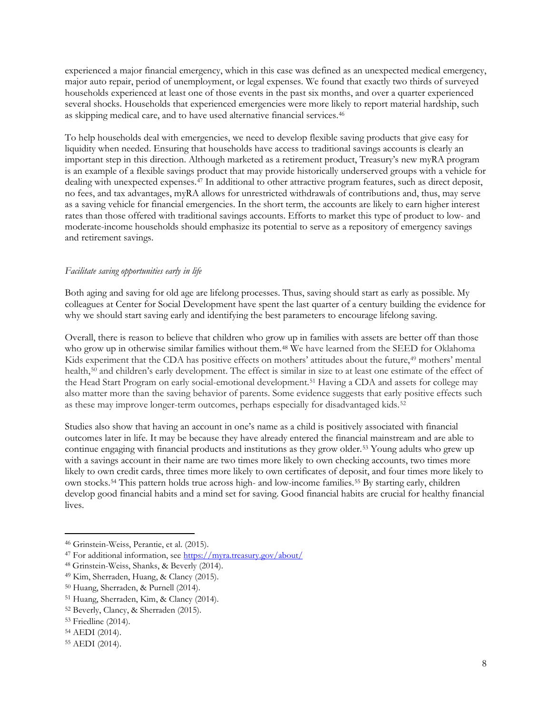experienced a major financial emergency, which in this case was defined as an unexpected medical emergency, major auto repair, period of unemployment, or legal expenses. We found that exactly two thirds of surveyed households experienced at least one of those events in the past six months, and over a quarter experienced several shocks. Households that experienced emergencies were more likely to report material hardship, such as skipping medical care, and to have used alternative financial services.[46](#page-7-0)

To help households deal with emergencies, we need to develop flexible saving products that give easy for liquidity when needed. Ensuring that households have access to traditional savings accounts is clearly an important step in this direction. Although marketed as a retirement product, Treasury's new myRA program is an example of a flexible savings product that may provide historically underserved groups with a vehicle for dealing with unexpected expenses.[47](#page-7-1) In additional to other attractive program features, such as direct deposit, no fees, and tax advantages, myRA allows for unrestricted withdrawals of contributions and, thus, may serve as a saving vehicle for financial emergencies. In the short term, the accounts are likely to earn higher interest rates than those offered with traditional savings accounts. Efforts to market this type of product to low- and moderate-income households should emphasize its potential to serve as a repository of emergency savings and retirement savings.

# *Facilitate saving opportunities early in life*

Both aging and saving for old age are lifelong processes. Thus, saving should start as early as possible. My colleagues at Center for Social Development have spent the last quarter of a century building the evidence for why we should start saving early and identifying the best parameters to encourage lifelong saving.

Overall, there is reason to believe that children who grow up in families with assets are better off than those who grow up in otherwise similar families without them.<sup>[48](#page-7-2)</sup> We have learned from the SEED for Oklahoma Kids experiment that the CDA has positive effects on mothers' attitudes about the future,<sup>[49](#page-7-3)</sup> mothers' mental health,<sup>[50](#page-7-4)</sup> and children's early development. The effect is similar in size to at least one estimate of the effect of the Head Start Program on early social-emotional development.[51](#page-7-5) Having a CDA and assets for college may also matter more than the saving behavior of parents. Some evidence suggests that early positive effects such as these may improve longer-term outcomes, perhaps especially for disadvantaged kids.[52](#page-7-6)

Studies also show that having an account in one's name as a child is positively associated with financial outcomes later in life. It may be because they have already entered the financial mainstream and are able to continue engaging with financial products and institutions as they grow older.[53](#page-7-7) Young adults who grew up with a savings account in their name are two times more likely to own checking accounts, two times more likely to own credit cards, three times more likely to own certificates of deposit, and four times more likely to own stocks.[54](#page-7-8) This pattern holds true across high- and low-income families.[55](#page-7-9) By starting early, children develop good financial habits and a mind set for saving. Good financial habits are crucial for healthy financial lives.

<span id="page-7-0"></span><sup>46</sup> Grinstein-Weiss, Perantie, et al. (2015).

<span id="page-7-1"></span><sup>47</sup> For additional information, see<https://myra.treasury.gov/about/>

<span id="page-7-2"></span><sup>48</sup> Grinstein-Weiss, Shanks, & Beverly (2014).

<span id="page-7-3"></span><sup>49</sup> Kim, Sherraden, Huang, & Clancy (2015).

<span id="page-7-4"></span><sup>50</sup> Huang, Sherraden, & Purnell (2014).

<span id="page-7-5"></span><sup>51</sup> Huang, Sherraden, Kim, & Clancy (2014).

<span id="page-7-6"></span><sup>52</sup> Beverly, Clancy, & Sherraden (2015).

<span id="page-7-7"></span><sup>53</sup> Friedline (2014).

<span id="page-7-8"></span><sup>54</sup> AEDI (2014).

<span id="page-7-9"></span><sup>55</sup> AEDI (2014).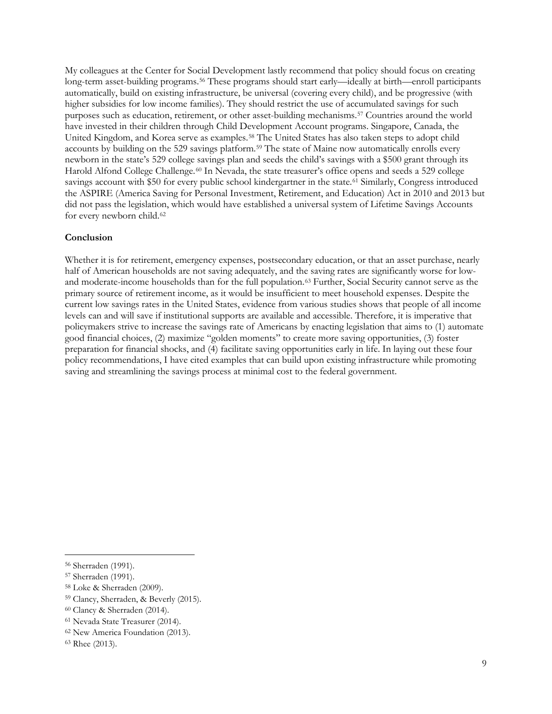My colleagues at the Center for Social Development lastly recommend that policy should focus on creating long-term asset-building programs.[56](#page-8-0) These programs should start early—ideally at birth—enroll participants automatically, build on existing infrastructure, be universal (covering every child), and be progressive (with higher subsidies for low income families). They should restrict the use of accumulated savings for such purposes such as education, retirement, or other asset-building mechanisms.<sup>57</sup> Countries around the world have invested in their children through Child Development Account programs. Singapore, Canada, the United Kingdom, and Korea serve as examples.[58](#page-8-2) The United States has also taken steps to adopt child accounts by building on the 529 savings platform.[59](#page-8-3) The state of Maine now automatically enrolls every newborn in the state's 529 college savings plan and seeds the child's savings with a \$500 grant through its Harold Alfond College Challenge.<sup>[60](#page-8-4)</sup> In Nevada, the state treasurer's office opens and seeds a 529 college savings account with \$50 for every public school kindergartner in the state.<sup>[61](#page-8-5)</sup> Similarly, Congress introduced the ASPIRE (America Saving for Personal Investment, Retirement, and Education) Act in 2010 and 2013 but did not pass the legislation, which would have established a universal system of Lifetime Savings Accounts for every newborn child.<sup>62</sup>

### **Conclusion**

Whether it is for retirement, emergency expenses, postsecondary education, or that an asset purchase, nearly half of American households are not saving adequately, and the saving rates are significantly worse for low-and moderate-income households than for the full population.<sup>[63](#page-8-7)</sup> Further, Social Security cannot serve as the primary source of retirement income, as it would be insufficient to meet household expenses. Despite the current low savings rates in the United States, evidence from various studies shows that people of all income levels can and will save if institutional supports are available and accessible. Therefore, it is imperative that policymakers strive to increase the savings rate of Americans by enacting legislation that aims to (1) automate good financial choices, (2) maximize "golden moments" to create more saving opportunities, (3) foster preparation for financial shocks, and (4) facilitate saving opportunities early in life. In laying out these four policy recommendations, I have cited examples that can build upon existing infrastructure while promoting saving and streamlining the savings process at minimal cost to the federal government.

<span id="page-8-0"></span><sup>56</sup> Sherraden (1991).

<span id="page-8-1"></span><sup>57</sup> Sherraden (1991).

<span id="page-8-2"></span><sup>58</sup> Loke & Sherraden (2009).

<span id="page-8-3"></span><sup>59</sup> Clancy, Sherraden, & Beverly (2015).

<span id="page-8-4"></span><sup>60</sup> Clancy & Sherraden (2014).

<span id="page-8-5"></span><sup>61</sup> Nevada State Treasurer (2014).

<span id="page-8-6"></span><sup>62</sup> New America Foundation (2013).

<span id="page-8-7"></span><sup>63</sup> Rhee (2013).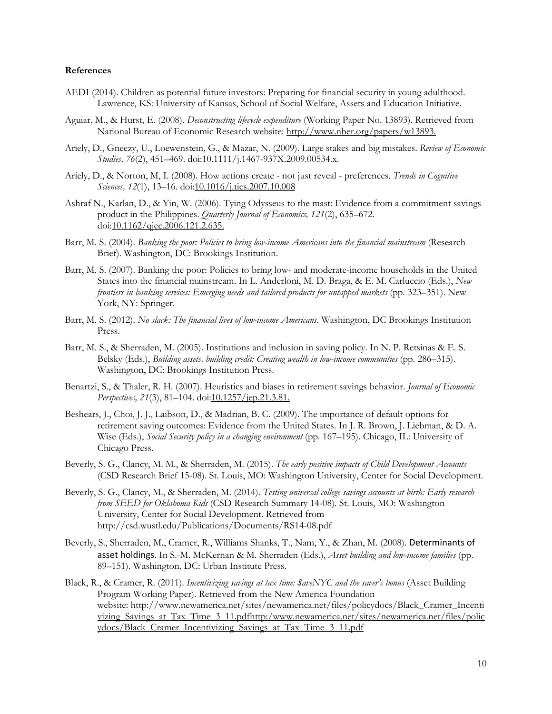#### **References**

- AEDI (2014). Children as potential future investors: Preparing for financial security in young adulthood. Lawrence, KS: University of Kansas, School of Social Welfare, Assets and Education Initiative.
- Aguiar, M., & Hurst, E. (2008). *Deconstructing lifecycle expenditure* (Working Paper No. 13893). Retrieved from National Bureau of Economic Research website[: http://www.nber.org/papers/w13893.](http://www.nber.org/papers/w13893)
- Ariely, D., Gneezy, U., Loewenstein, G., & Mazar, N. (2009). Large stakes and big mistakes. *Review of Economic Studies, 76*(2), 451–469. doi[:10.1111/j.1467-937X.2009.00534.x.](http://dx.doi.org/10.1111/j.1467-937X.2009.00534.x)
- Ariely, D., & Norton, M, I. (2008). How actions create not just reveal preferences. *Trends in Cognitive Sciences, 12*(1), 13–16. doi[:10.1016/j.tics.2007.10.008](http://dx.doi.org/10.1016/j.tics.2007.10.008)
- Ashraf N., Karlan, D., & Yin, W. (2006). Tying Odysseus to the mast: Evidence from a commitment savings product in the Philippines. *Quarterly Journal of Economics, 121*(2), 635–672. doi[:10.1162/qjec.2006.121.2.635.](http://dx.doi.org/10.1162/qjec.2006.121.2.635)
- Barr, M. S. (2004). *Banking the poor: Policies to bring low-income Americans into the financial mainstream* (Research Brief). Washington, DC: Brookings Institution.
- Barr, M. S. (2007). Banking the poor: Policies to bring low- and moderate-income households in the United States into the financial mainstream. In L. Anderloni, M. D. Braga, & E. M. Carluccio (Eds.), *New frontiers in banking services: Emerging needs and tailored products for untapped markets* (pp. 323–351). New York, NY: Springer.
- Barr, M. S. (2012). *No slack: The financial lives of low-income Americans*. Washington, DC Brookings Institution Press.
- Barr, M. S., & Sherraden, M. (2005). Institutions and inclusion in saving policy. In N. P. Retsinas & E. S. Belsky (Eds.), *Building assets, building credit: Creating wealth in low-income communities* (pp. 286–315). Washington, DC: Brookings Institution Press.
- Benartzi, S., & Thaler, R. H. (2007). Heuristics and biases in retirement savings behavior. *Journal of Economic Perspectives, 21*(3), 81–104. do[i:10.1257/jep.21.3.81.](http://dx.doi.org/10.1257/jep.21.3.81)
- Beshears, J., Choi, J. J., Laibson, D., & Madrian, B. C. (2009). The importance of default options for retirement saving outcomes: Evidence from the United States. In J. R. Brown, J. Liebman, & D. A. Wise (Eds.), *Social Security policy in a changing environment* (pp. 167–195). Chicago, IL: University of Chicago Press.
- Beverly, S. G., Clancy, M. M., & Sherraden, M. (2015). *[The early positive impacts of Child Development Accounts](http://csd.wustl.edu/Publications/Documents/RB15-08.pdf)* (CSD Research Brief 15-08). St. Louis, MO: Washington University, Center for Social Development.
- Beverly, S. G., Clancy, M., & Sherraden, M. (2014). *Testing universal college savings accounts at birth: Early research from SEED for Oklahoma Kids* (CSD Research Summary 14-08). St. Louis, MO: Washington University, Center for Social Development. Retrieved from http://csd.wustl.edu/Publications/Documents/RS14-08.pdf
- Beverly, S., Sherraden, M., Cramer, R., Williams Shanks, T., Nam, Y., & Zhan, M. (2008). Determinants of asset holdings. In S.-M. McKernan & M. Sherraden (Eds.), *Asset building and low-income families* (pp. 89–151). Washington, DC: Urban Institute Press.
- Black, R., & Cramer, R. (2011). *Incentivizing savings at tax time: \$aveNYC and the saver's bonus* (Asset Building Program Working Paper). Retrieved from the New America Foundation website: [http://www.newamerica.net/sites/newamerica.net/files/policydocs/Black\\_Cramer\\_Incenti](http://www.newamerica.net/sites/newamerica.net/files/policydocs/Black_Cramer_Incentivizing_Savings_at_Tax_Time_3_11.pdfhttp:/www.newamerica.net/sites/newamerica.net/files/policydocs/Black_Cramer_Incentivizing_Savings_at_Tax_Time_3_11.pdf) [vizing\\_Savings\\_at\\_Tax\\_Time\\_3\\_11.pdfhttp:/www.newamerica.net/sites/newamerica.net/files/polic](http://www.newamerica.net/sites/newamerica.net/files/policydocs/Black_Cramer_Incentivizing_Savings_at_Tax_Time_3_11.pdfhttp:/www.newamerica.net/sites/newamerica.net/files/policydocs/Black_Cramer_Incentivizing_Savings_at_Tax_Time_3_11.pdf) [ydocs/Black\\_Cramer\\_Incentivizing\\_Savings\\_at\\_Tax\\_Time\\_3\\_11.pdf](http://www.newamerica.net/sites/newamerica.net/files/policydocs/Black_Cramer_Incentivizing_Savings_at_Tax_Time_3_11.pdfhttp:/www.newamerica.net/sites/newamerica.net/files/policydocs/Black_Cramer_Incentivizing_Savings_at_Tax_Time_3_11.pdf)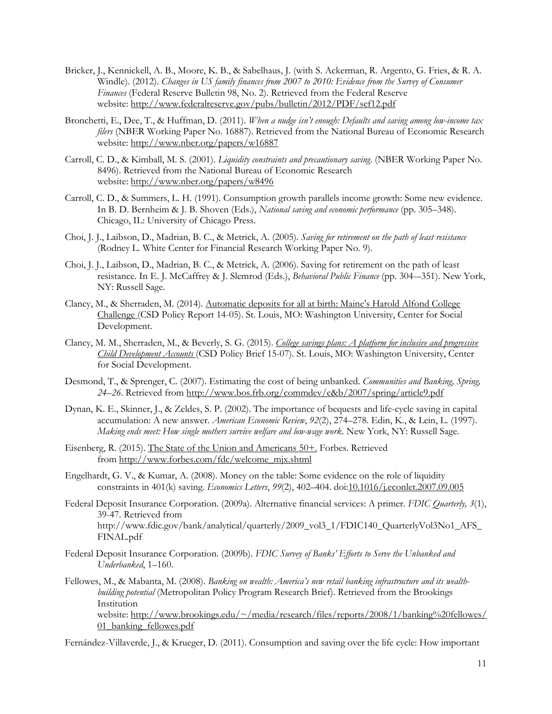- Bricker, J., Kennickell, A. B., Moore, K. B., & Sabelhaus, J. (with S. Ackerman, R. Argento, G. Fries, & R. A. Windle). (2012). *Changes in US family finances from 2007 to 2010: Evidence from the Survey of Consumer Finances* (Federal Reserve Bulletin 98, No. 2). Retrieved from the Federal Reserve website:<http://www.federalreserve.gov/pubs/bulletin/2012/PDF/scf12.pdf>
- Bronchetti, E., Dee, T., & Huffman, D. (2011). *When a nudge isn't enough: Defaults and saving among low-income tax filers* (NBER Working Paper No. 16887). Retrieved from the National Bureau of Economic Research website:<http://www.nber.org/papers/w16887>
- Carroll, C. D., & Kimball, M. S. (2001). *Liquidity constraints and precautionary saving*. (NBER Working Paper No. 8496). Retrieved from the National Bureau of Economic Research website:<http://www.nber.org/papers/w8496>
- Carroll, C. D., & Summers, L. H. (1991). Consumption growth parallels income growth: Some new evidence. In B. D. Bernheim & J. B. Shoven (Eds.), *National saving and economic performance* (pp. 305–348). Chicago, IL: University of Chicago Press.
- Choi, J. J., Laibson, D., Madrian, B. C., & Metrick, A. (2005). *Saving for retirement on the path of least resistance* (Rodney L. White Center for Financial Research Working Paper No. 9).
- Choi, J. J., Laibson, D., Madrian, B. C., & Metrick, A. (2006). Saving for retirement on the path of least resistance. In E. J. McCaffrey & J. Slemrod (Eds.), *Behavioral Public Finance* (pp. 304-–351). New York, NY: Russell Sage.
- Clancy, M., & Sherraden, M. (2014). Automatic deposits for all [at birth: Maine's Harold Alfond College](http://csd.wustl.edu/Publications/Documents/PR14-05.pdf)  [Challenge](http://csd.wustl.edu/Publications/Documents/PR14-05.pdf) (CSD Policy Report 14-05). St. Louis, MO: Washington University, Center for Social Development.
- Clancy, M. M., Sherraden, M., & Beverly, S. G. (2015). *[College savings plans: A platform for inclusive and progressive](http://csd.wustl.edu/Publications/Documents/PB15-07.pdf)  [Child Development Accounts](http://csd.wustl.edu/Publications/Documents/PB15-07.pdf)* (CSD Policy Brief 15-07). St. Louis, MO: Washington University, Center for Social Development.
- Desmond, T., & Sprenger, C. (2007). Estimating the cost of being unbanked. *Communities and Banking, Spring, 24–26*. Retrieved from<http://www.bos.frb.org/commdev/c&b/2007/spring/article9.pdf>
- Dynan, K. E., Skinner, J., & Zeldes, S. P. (2002). The importance of bequests and life-cycle saving in capital accumulation: A new answer. *American Economic Review*, *92*(2), 274–278. Edin, K., & Lein, L. (1997). *Making ends meet: How single mothers survive welfare and low-wage work*. New York, NY: Russell Sage.
- Eisenberg, R. (2015). [The State of the Union and Americans 50+.](http://www.forbes.com/sites/nextavenue/2015/01/20/the-state-of-the-union-and-americans-50/) Forbes. Retrieved from [http://www.forbes.com/fdc/welcome\\_mjx.shtml](http://www.forbes.com/fdc/welcome_mjx.shtml)
- Engelhardt, G. V., & Kumar, A. (2008). Money on the table: Some evidence on the role of liquidity constraints in 401(k) saving. *Economics Letters*, *99*(2), 402–404. do[i:10.1016/j.econlet.2007.09.005](http://dx.doi.org/10.1016/j.econlet.2007.09.005)
- Federal Deposit Insurance Corporation. (2009a). Alternative financial services: A primer. *FDIC Quarterly, 3*(1), 39-47. Retrieved from http://www.fdic.gov/bank/analytical/quarterly/2009\_vol3\_1/FDIC140\_QuarterlyVol3No1\_AFS\_ FINAL.pdf
- Federal Deposit Insurance Corporation. (2009b). *FDIC Survey of Banks' Efforts to Serve the Unbanked and Underbanked*, 1–160.
- Fellowes, M., & Mabanta, M. (2008). *Banking on wealth: America's new retail banking infrastructure and its wealthbuilding potential* (Metropolitan Policy Program Research Brief). Retrieved from the Brookings Institution website: [http://www.brookings.edu/~/media/research/files/reports/2008/1/banking%20fellowes/](http://www.brookings.edu/%7E/media/research/files/reports/2008/1/banking%20fellowes/01_banking_fellowes.pdf) 01 banking fellowes.pdf

Fernández-Villaverde, J., & Krueger, D. (2011). Consumption and saving over the life cycle: How important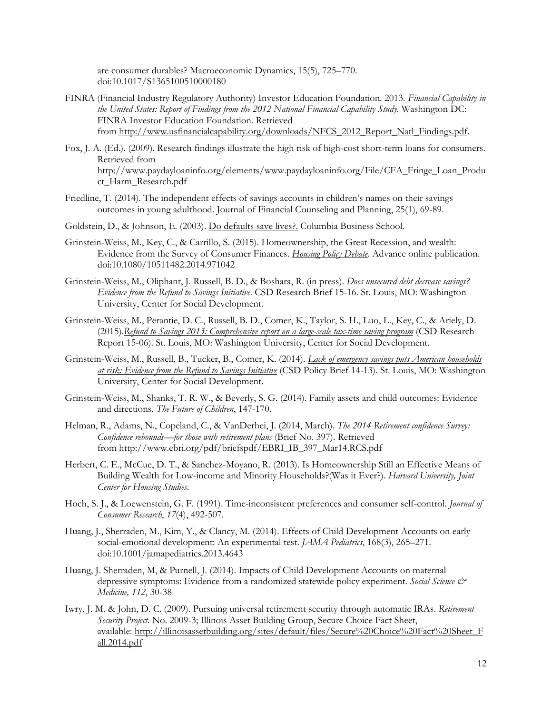are consumer durables? Macroeconomic Dynamics, 15(5), 725–770. doi:10.1017/S1365100510000180

- FINRA (Financial Industry Regulatory Authority) Investor Education Foundation*.* 2013*. Financial Capability in the United States: Report of Findings from the 2012 National Financial Capability Study.* Washington DC: FINRA Investor Education Foundation. Retrieved from [http://www.usfinancialcapability.org/downloads/NFCS\\_2012\\_Report\\_Natl\\_Findings.pdf.](http://www.usfinancialcapability.org/downloads/NFCS_2012_Report_Natl_Findings.pdf)
- Fox, J. A. (Ed.). (2009). Research findings illustrate the high risk of high-cost short-term loans for consumers. Retrieved from http://www.paydayloaninfo.org/elements/www.paydayloaninfo.org/File/CFA\_Fringe\_Loan\_Produ ct\_Harm\_Research.pdf
- Friedline, T. (2014). The independent effects of savings accounts in children's names on their savings outcomes in young adulthood. Journal of Financial Counseling and Planning, 25(1), 69-89.
- Goldstein, D., & Johnson, E. (2003). [Do defaults save lives?.](http://www8.gsb.columbia.edu/sites/decisionsciences/files/files/Johnson_Defaults.pdf) Columbia Business School.
- Grinstein-Weiss, M., Key, C., & Carrillo, S. (2015). Homeownership, the Great Recession, and wealth: Evidence from the Survey of Consumer Finances. *[Housing Policy Debate](http://dx.doi.org/10.1080/10511482.2014.971042)*. Advance online publication. doi:10.1080/10511482.2014.971042
- Grinstein-Weiss, M., Oliphant, J. Russell, B. D., & Boshara, R. (in press). *Does unsecured debt decrease savings? Evidence from the Refund to Savings Initiative*. CSD Research Brief 15-16. St. Louis, MO: Washington University, Center for Social Development.
- Grinstein-Weiss, M., Perantie, D. C., Russell, B. D., Comer, K., Taylor, S. H., Luo, L., Key, C., & Ariely, D. (2015).*[Refund to Savings 2013: Comprehensive report on a large-scale tax-time saving program](http://csd.wustl.edu/Publications/Documents/RR15-06.pdf)* (CSD Research Report 15-06). St. Louis, MO: Washington University, Center for Social Development.
- Grinstein-Weiss, M., Russell, B., Tucker, B., Comer, K. (2014). *[Lack of emergency savings puts American households](http://csd.wustl.edu/Publications/Documents/RB14-13.pdf)  [at risk: Evidence from the Refund to Savings Initiative](http://csd.wustl.edu/Publications/Documents/RB14-13.pdf)* (CSD Policy Brief 14-13). St. Louis, MO: Washington University, Center for Social Development.
- Grinstein-Weiss, M., Shanks, T. R. W., & Beverly, S. G. (2014). Family assets and child outcomes: Evidence and directions. *The Future of Children*, 147-170.
- Helman, R., Adams, N., Copeland, C., & VanDerhei, J. (2014, March). *The 2014 Retirement confidence Survey: Confidence rebounds—for those with retirement plans* (Brief No. 397). Retrieved from [http://www.ebri.org/pdf/briefspdf/EBRI\\_IB\\_397\\_Mar14.RCS.pdf](http://www.ebri.org/pdf/briefspdf/EBRI_IB_397_Mar14.RCS.pdf)
- Herbert, C. E., McCue, D. T., & Sanchez-Moyano, R. (2013). Is Homeownership Still an Effective Means of Building Wealth for Low-income and Minority Households?(Was it Ever?). *Harvard University, Joint Center for Housing Studies*.
- Hoch, S. J., & Loewenstein, G. F. (1991). Time-inconsistent preferences and consumer self-control. *Journal of Consumer Research*, *17*(4), 492-507.
- Huang, J., Sherraden, M., Kim, Y., & Clancy, M. (2014). Effects of Child Development Accounts on early social-emotional development: An experimental test. *[JAMA Pediatrics](http://dx.doi.org/10.1001/jamapediatrics.2013.4643)*, 168(3), 265–271. doi:10.1001/jamapediatrics.2013.4643
- Huang, J. Sherraden, M, & Purnell, J. (2014). Impacts of Child Development Accounts on maternal depressive symptoms: Evidence from a randomized statewide policy experiment. *Social Science & Medicine, 112*, 30-38
- Iwry, J. M. & John, D. C. (2009). Pursuing universal retirement security through automatic IRAs. *Retirement Security Project.* No. 2009-3; Illinois Asset Building Group, Secure Choice Fact Sheet, available: [http://illinoisassetbuilding.org/sites/default/files/Secure%20Choice%20Fact%20Sheet\\_F](http://illinoisassetbuilding.org/sites/default/files/Secure%20Choice%20Fact%20Sheet_Fall.2014.pdf) [all.2014.pdf](http://illinoisassetbuilding.org/sites/default/files/Secure%20Choice%20Fact%20Sheet_Fall.2014.pdf)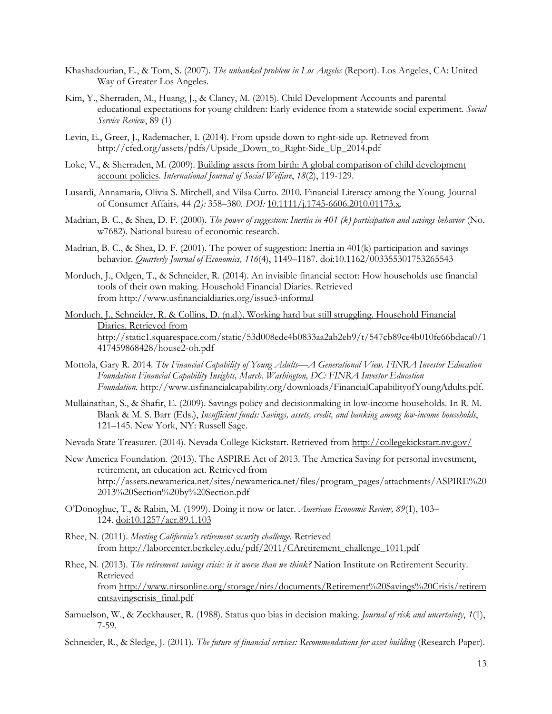- Khashadourian, E., & Tom, S. (2007). *The unbanked problem in Los Angeles* (Report). Los Angeles, CA: United Way of Greater Los Angeles.
- Kim, Y., Sherraden, M., Huang, J., & Clancy, M. (2015). Child Development Accounts and parental educational expectations for young children: Early evidence from a statewide social experiment. *Social Service Review*, 89 (1)
- Levin, E., Greer, J., Rademacher, I. (2014). From upside down to right-side up. Retrieved from http://cfed.org/assets/pdfs/Upside\_Down\_to\_Right-Side\_Up\_2014.pdf
- Loke, V., & Sherraden, M. (2009). Building assets from birth: A global comparison of child development [account policies.](http://onlinelibrary.wiley.com/doi/10.1111/j.1468-2397.2008.00605.x/full) *International Journal of Social Welfare*, *18*(2), 119-129.
- Lusardi, Annamaria*,* Olivia S. Mitchell, and Vilsa Curto*.* 2010*.* Financial Literacy among the Young*.* Journal of Consumer Affairs*,* 44 *(*2*):* 358*–*380*. DOI:* [10.1111/j.1745-6606.2010.01173.x](http://dx.doi.org/10.1111/j.1745-6606.2010.01173.x)*.*
- Madrian, B. C., & Shea, D. F. (2000). *The power of suggestion: Inertia in 401 (k) participation and savings behavior* (No. w7682). National bureau of economic research.
- Madrian, B. C., & Shea, D. F. (2001). The power of suggestion: Inertia in 401(k) participation and savings behavior. *Quarterly Journal of Economics, 116*(4), 1149–1187. do[i:10.1162/003355301753265543](http://dx.doi.org/10.1162/003355301753265543)
- Morduch, J., Odgen, T., & Schneider, R. (2014). An invisible financial sector: How households use financial tools of their own making. Household Financial Diaries. Retrieved from<http://www.usfinancialdiaries.org/issue3-informal>
- Morduch, J., Schneider, R. & Collins, D. (n.d.). Working hard but still struggling. Household Financial Diaries. Retrieved from http://static1.squarespace.com/static/53d008ede4b0833aa2ab2eb9/t/547cb89ce4b010fe66bdaca0/1 417459868428/house2-oh.pdf
- Mottola, Gary R*.* 2014*. The Financial Capability of Young Adults—A Generational View. FINRA Investor Education Foundation Financial Capability Insights, March. Washington, DC: FINRA Investor Education Foundation.* <http://www.usfinancialcapability.org/downloads/FinancialCapabilityofYoungAdults.pdf>*.*
- Mullainathan, S., & Shafir, E. (2009). Savings policy and decisionmaking in low-income households. In R. M. Blank & M. S. Barr (Eds.), *Insufficient funds: Savings, assets, credit, and banking among low-income households*, 121–145. New York, NY: Russell Sage.
- Nevada State Treasurer. (2014). Nevada College Kickstart. Retrieved from<http://collegekickstart.nv.gov/>
- New America Foundation. (2013). The ASPIRE Act of 2013. The America Saving for personal investment, retirement, an education act. Retrieved from http://assets.newamerica.net/sites/newamerica.net/files/program\_pages/attachments/ASPIRE%20 2013%20Section%20by%20Section.pdf
- O'Donoghue, T., & Rabin, M. (1999). Doing it now or later. *American Economic Review, 89*(1), 103– 124. [doi:10.1257/aer.89.1.103](http://dx.doi.org/10.1257%2Faer.89.1.103)
- Rhee, N. (2011). *Meeting California's retirement security challenge.* Retrieved from [http://laborcenter.berkeley.edu/pdf/2011/CAretirement\\_challenge\\_1011.pdf](http://laborcenter.berkeley.edu/pdf/2011/CAretirement_challenge_1011.pdf)
- Rhee, N. (2013). *The retirement savings crisis: is it worse than we think?* Nation Institute on Retirement Security. Retrieved from [http://www.nirsonline.org/storage/nirs/documents/Retirement%20Savings%20Crisis/retirem](http://www.nirsonline.org/storage/nirs/documents/Retirement%20Savings%20Crisis/retirementsavingscrisis_final.pdf) [entsavingscrisis\\_final.pdf](http://www.nirsonline.org/storage/nirs/documents/Retirement%20Savings%20Crisis/retirementsavingscrisis_final.pdf)
- Samuelson, W., & Zeckhauser, R. (1988). Status quo bias in decision making. *Journal of risk and uncertainty*, *1*(1), 7-59.
- Schneider, R., & Sledge, J. (2011). *The future of financial services: Recommendations for asset building* (Research Paper).